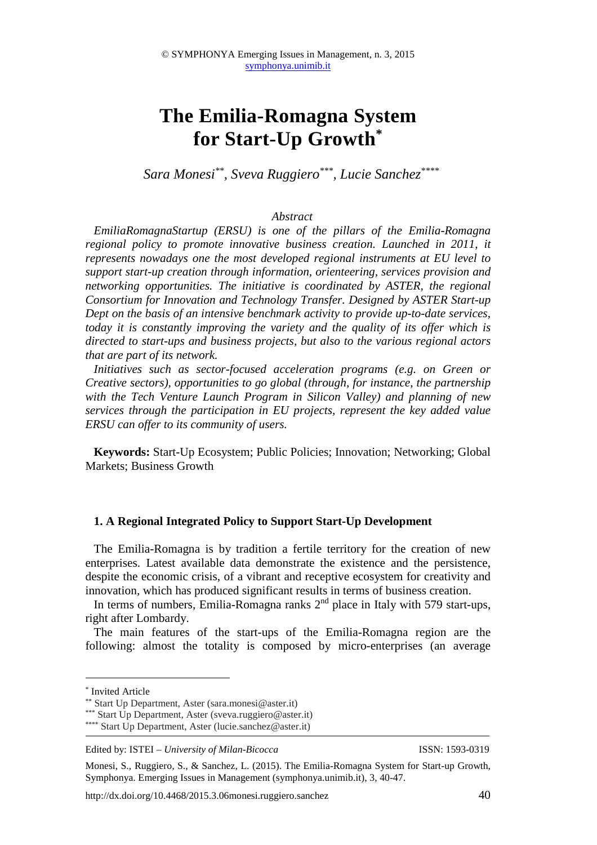# **The Emilia-Romagna System for Start-Up Growth\***

*Sara Monesi\*\*, Sveva Ruggiero\*\*\*, Lucie Sanchez\*\*\*\**

#### *Abstract*

*EmiliaRomagnaStartup (ERSU) is one of the pillars of the Emilia-Romagna*  regional policy to promote innovative business creation. Launched in 2011, it *represents nowadays one the most developed regional instruments at EU level to support start-up creation through information, orienteering, services provision and networking opportunities. The initiative is coordinated by ASTER, the regional Consortium for Innovation and Technology Transfer. Designed by ASTER Start-up Dept on the basis of an intensive benchmark activity to provide up-to-date services, today it is constantly improving the variety and the quality of its offer which is directed to start-ups and business projects, but also to the various regional actors that are part of its network.* 

*Initiatives such as sector-focused acceleration programs (e.g. on Green or Creative sectors), opportunities to go global (through, for instance, the partnership with the Tech Venture Launch Program in Silicon Valley) and planning of new services through the participation in EU projects, represent the key added value ERSU can offer to its community of users.* 

**Keywords:** Start-Up Ecosystem; Public Policies; Innovation; Networking; Global Markets; Business Growth

#### **1. A Regional Integrated Policy to Support Start-Up Development**

The Emilia-Romagna is by tradition a fertile territory for the creation of new enterprises. Latest available data demonstrate the existence and the persistence, despite the economic crisis, of a vibrant and receptive ecosystem for creativity and innovation, which has produced significant results in terms of business creation.

In terms of numbers, Emilia-Romagna ranks  $2<sup>nd</sup>$  place in Italy with 579 start-ups, right after Lombardy.

The main features of the start-ups of the Emilia-Romagna region are the following: almost the totality is composed by micro-enterprises (an average

 $\overline{a}$ 

Edited by: ISTEI – *University of Milan-Bicocca* ISSN: 1593-0319

<sup>\*</sup> Invited Article

<sup>\*\*</sup> Start Up Department, Aster (sara.monesi@aster.it)

<sup>\*\*\*</sup> Start Up Department, Aster (sveva.ruggiero@aster.it)

<sup>\*\*\*\*</sup> Start Up Department, Aster (lucie.sanchez@aster.it)

Monesi, S., Ruggiero, S., & Sanchez, L. (2015). The Emilia-Romagna System for Start-up Growth, Symphonya. Emerging Issues in Management (symphonya.unimib.it), 3, 40-47.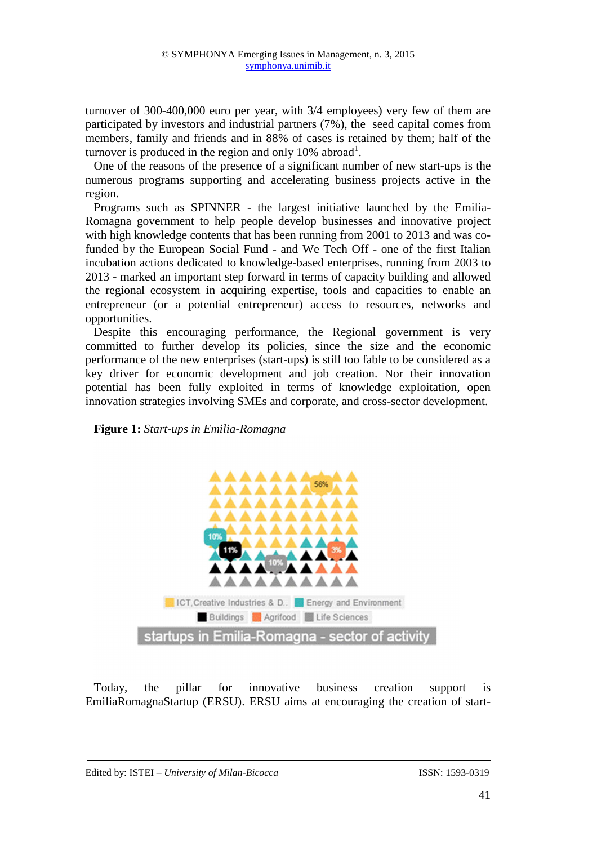turnover of 300-400,000 euro per year, with 3/4 employees) very few of them are participated by investors and industrial partners (7%), the seed capital comes from members, family and friends and in 88% of cases is retained by them; half of the turnover is produced in the region and only  $10\%$  abroad<sup>1</sup>.

One of the reasons of the presence of a significant number of new start-ups is the numerous programs supporting and accelerating business projects active in the region.

Programs such as SPINNER - the largest initiative launched by the Emilia-Romagna government to help people develop businesses and innovative project with high knowledge contents that has been running from 2001 to 2013 and was cofunded by the European Social Fund - and We Tech Off - one of the first Italian incubation actions dedicated to knowledge-based enterprises, running from 2003 to 2013 - marked an important step forward in terms of capacity building and allowed the regional ecosystem in acquiring expertise, tools and capacities to enable an entrepreneur (or a potential entrepreneur) access to resources, networks and opportunities.

Despite this encouraging performance, the Regional government is very committed to further develop its policies, since the size and the economic performance of the new enterprises (start-ups) is still too fable to be considered as a key driver for economic development and job creation. Nor their innovation potential has been fully exploited in terms of knowledge exploitation, open innovation strategies involving SMEs and corporate, and cross-sector development.

### **Figure 1:** *Start-ups in Emilia-Romagna*



Today, the pillar for innovative business creation support is EmiliaRomagnaStartup (ERSU). ERSU aims at encouraging the creation of start-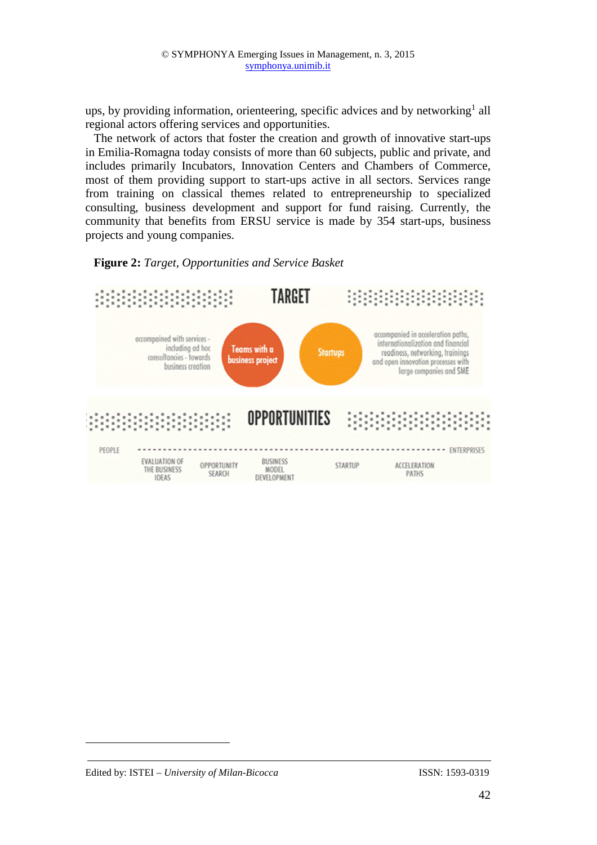ups, by providing information, orienteering, specific advices and by networking<sup>1</sup> all regional actors offering services and opportunities.

The network of actors that foster the creation and growth of innovative start-ups in Emilia-Romagna today consists of more than 60 subjects, public and private, and includes primarily Incubators, Innovation Centers and Chambers of Commerce, most of them providing support to start-ups active in all sectors. Services range from training on classical themes related to entrepreneurship to specialized consulting, business development and support for fund raising. Currently, the community that benefits from ERSU service is made by 354 start-ups, business projects and young companies.





 $\overline{a}$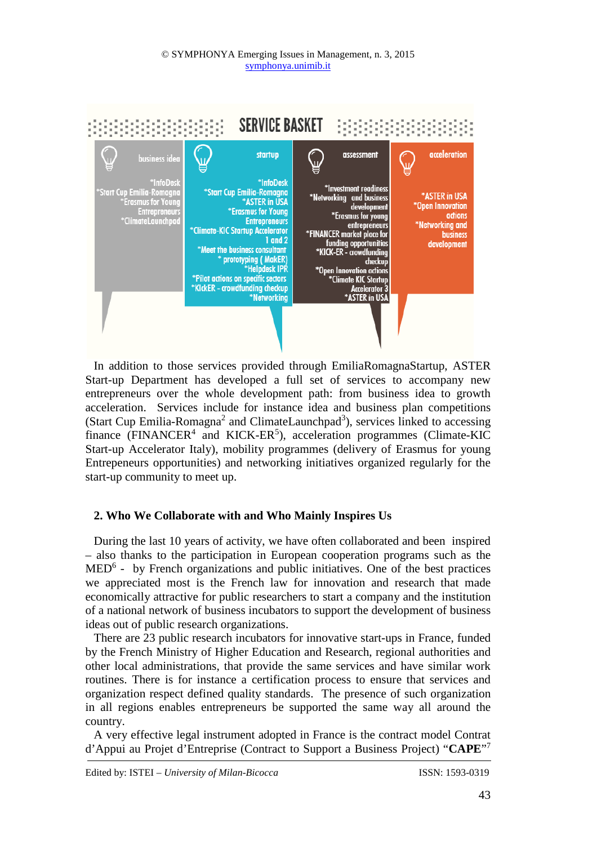

In addition to those services provided through EmiliaRomagnaStartup, ASTER Start-up Department has developed a full set of services to accompany new entrepreneurs over the whole development path: from business idea to growth acceleration. Services include for instance idea and business plan competitions (Start Cup Emilia-Romagna<sup>2</sup> and ClimateLaunchpad<sup>3</sup>), services linked to accessing finance ( $FINANCER<sup>4</sup>$  and  $KICK-ER<sup>5</sup>$ ), acceleration programmes (Climate-KIC Start-up Accelerator Italy), mobility programmes (delivery of Erasmus for young Entrepeneurs opportunities) and networking initiatives organized regularly for the start-up community to meet up.

# **2. Who We Collaborate with and Who Mainly Inspires Us**

During the last 10 years of activity, we have often collaborated and been inspired – also thanks to the participation in European cooperation programs such as the  $MED<sup>6</sup>$  - by French organizations and public initiatives. One of the best practices we appreciated most is the French law for innovation and research that made economically attractive for public researchers to start a company and the institution of a national network of business incubators to support the development of business ideas out of public research organizations.

There are 23 public research incubators for innovative start-ups in France, funded by the French Ministry of Higher Education and Research, regional authorities and other local administrations, that provide the same services and have similar work routines. There is for instance a certification process to ensure that services and organization respect defined quality standards. The presence of such organization in all regions enables entrepreneurs be supported the same way all around the country.

A very effective legal instrument adopted in France is the contract model Contrat d'Appui au Projet d'Entreprise (Contract to Support a Business Project) "**CAPE**" 7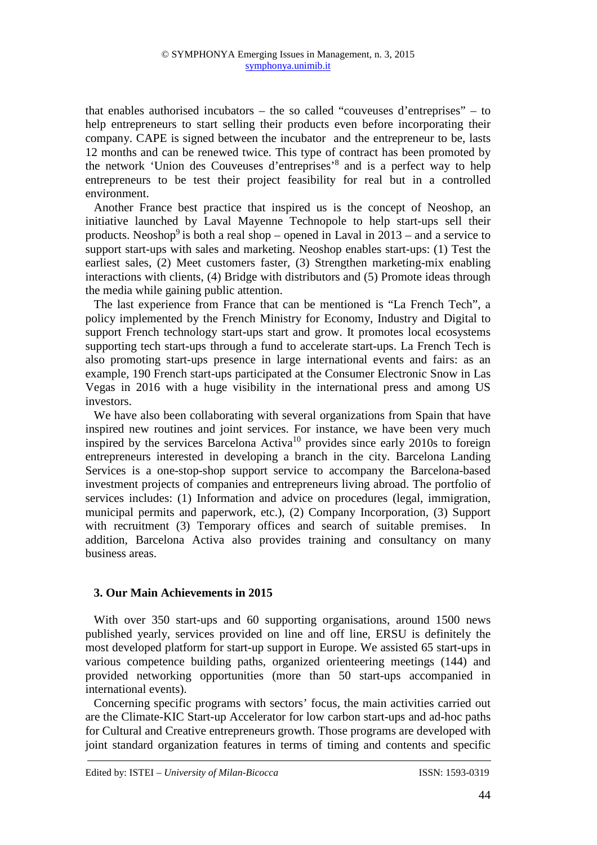that enables authorised incubators – the so called "couveuses d'entreprises" – to help entrepreneurs to start selling their products even before incorporating their company. CAPE is signed between the incubator and the entrepreneur to be, lasts 12 months and can be renewed twice. This type of contract has been promoted by the network 'Union des Couveuses d'entreprises'<sup>8</sup> and is a perfect way to help entrepreneurs to be test their project feasibility for real but in a controlled environment.

Another France best practice that inspired us is the concept of Neoshop, an initiative launched by Laval Mayenne Technopole to help start-ups sell their products. Neoshop<sup>9</sup> is both a real shop – opened in Laval in  $2013$  – and a service to support start-ups with sales and marketing. Neoshop enables start-ups: (1) Test the earliest sales, (2) Meet customers faster, (3) Strengthen marketing-mix enabling interactions with clients, (4) Bridge with distributors and (5) Promote ideas through the media while gaining public attention.

The last experience from France that can be mentioned is "La French Tech", a policy implemented by the French Ministry for Economy, Industry and Digital to support French technology start-ups start and grow. It promotes local ecosystems supporting tech start-ups through a fund to accelerate start-ups. La French Tech is also promoting start-ups presence in large international events and fairs: as an example, 190 French start-ups participated at the Consumer Electronic Snow in Las Vegas in 2016 with a huge visibility in the international press and among US investors.

We have also been collaborating with several organizations from Spain that have inspired new routines and joint services. For instance, we have been very much inspired by the services Barcelona Activa<sup>10</sup> provides since early 2010s to foreign entrepreneurs interested in developing a branch in the city. Barcelona Landing Services is a one-stop-shop support service to accompany the Barcelona-based investment projects of companies and entrepreneurs living abroad. The portfolio of services includes: (1) Information and advice on procedures (legal, immigration, municipal permits and paperwork, etc.), (2) Company Incorporation, (3) Support with recruitment (3) Temporary offices and search of suitable premises. In addition, Barcelona Activa also provides training and consultancy on many business areas.

### **3. Our Main Achievements in 2015**

With over 350 start-ups and 60 supporting organisations, around 1500 news published yearly, services provided on line and off line, ERSU is definitely the most developed platform for start-up support in Europe. We assisted 65 start-ups in various competence building paths, organized orienteering meetings (144) and provided networking opportunities (more than 50 start-ups accompanied in international events).

Concerning specific programs with sectors' focus, the main activities carried out are the Climate-KIC Start-up Accelerator for low carbon start-ups and ad-hoc paths for Cultural and Creative entrepreneurs growth. Those programs are developed with joint standard organization features in terms of timing and contents and specific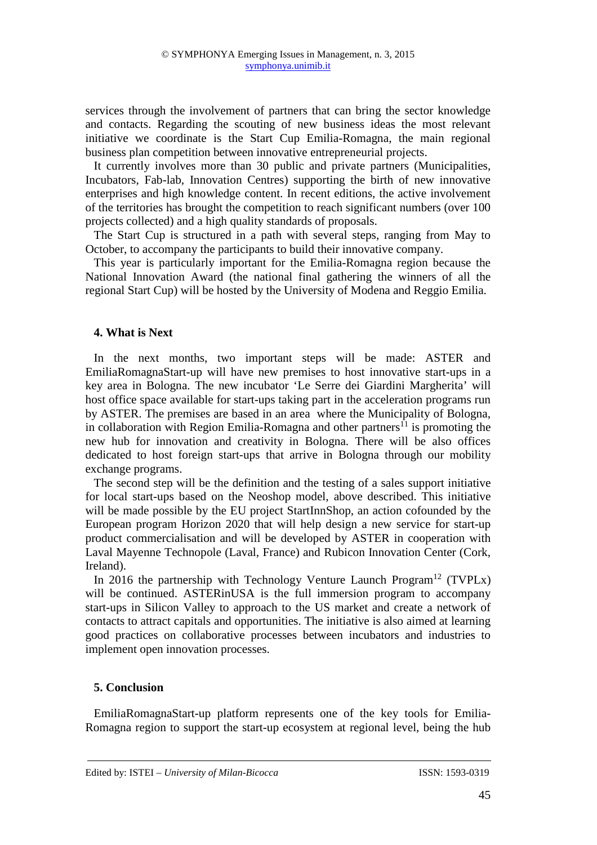services through the involvement of partners that can bring the sector knowledge and contacts. Regarding the scouting of new business ideas the most relevant initiative we coordinate is the Start Cup Emilia-Romagna, the main regional business plan competition between innovative entrepreneurial projects.

It currently involves more than 30 public and private partners (Municipalities, Incubators, Fab-lab, Innovation Centres) supporting the birth of new innovative enterprises and high knowledge content. In recent editions, the active involvement of the territories has brought the competition to reach significant numbers (over 100 projects collected) and a high quality standards of proposals.

The Start Cup is structured in a path with several steps, ranging from May to October, to accompany the participants to build their innovative company.

This year is particularly important for the Emilia-Romagna region because the National Innovation Award (the national final gathering the winners of all the regional Start Cup) will be hosted by the University of Modena and Reggio Emilia.

## **4. What is Next**

In the next months, two important steps will be made: ASTER and EmiliaRomagnaStart-up will have new premises to host innovative start-ups in a key area in Bologna. The new incubator 'Le Serre dei Giardini Margherita' will host office space available for start-ups taking part in the acceleration programs run by ASTER. The premises are based in an area where the Municipality of Bologna, in collaboration with Region Emilia-Romagna and other partners<sup> $\hat{1}$ </sup> is promoting the new hub for innovation and creativity in Bologna. There will be also offices dedicated to host foreign start-ups that arrive in Bologna through our mobility exchange programs.

The second step will be the definition and the testing of a sales support initiative for local start-ups based on the Neoshop model, above described. This initiative will be made possible by the EU project StartInnShop, an action cofounded by the European program Horizon 2020 that will help design a new service for start-up product commercialisation and will be developed by ASTER in cooperation with Laval Mayenne Technopole (Laval, France) and Rubicon Innovation Center (Cork, Ireland).

In 2016 the partnership with Technology Venture Launch Program<sup>12</sup> (TVPLx) will be continued. ASTERinUSA is the full immersion program to accompany start-ups in Silicon Valley to approach to the US market and create a network of contacts to attract capitals and opportunities. The initiative is also aimed at learning good practices on collaborative processes between incubators and industries to implement open innovation processes.

# **5. Conclusion**

EmiliaRomagnaStart-up platform represents one of the key tools for Emilia-Romagna region to support the start-up ecosystem at regional level, being the hub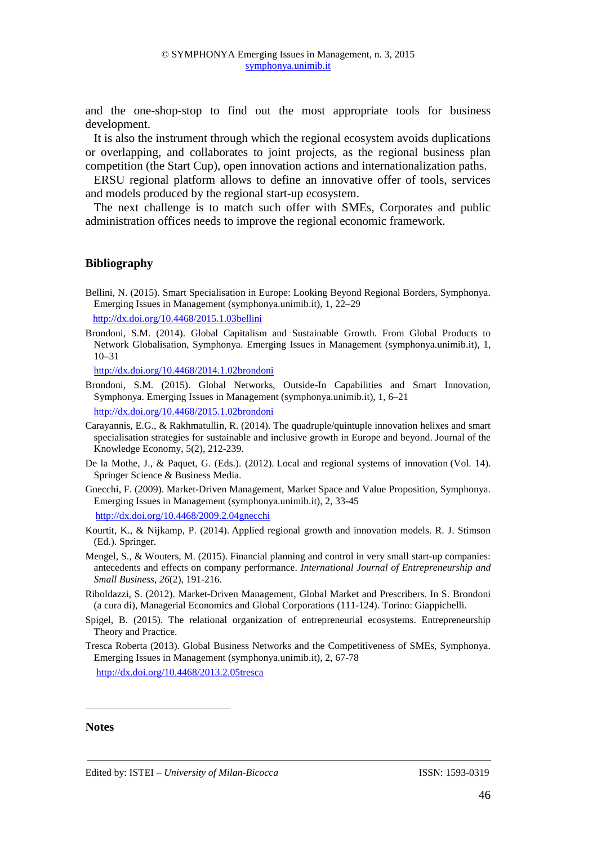and the one-shop-stop to find out the most appropriate tools for business development.

It is also the instrument through which the regional ecosystem avoids duplications or overlapping, and collaborates to joint projects, as the regional business plan competition (the Start Cup), open innovation actions and internationalization paths.

ERSU regional platform allows to define an innovative offer of tools, services and models produced by the regional start-up ecosystem.

The next challenge is to match such offer with SMEs, Corporates and public administration offices needs to improve the regional economic framework.

#### **Bibliography**

Bellini, N. (2015). Smart Specialisation in Europe: Looking Beyond Regional Borders, Symphonya. Emerging Issues in Management (symphonya.unimib.it), 1, 22–29

http://dx.doi.org/10.4468/2015.1.03bellini

Brondoni, S.M. (2014). Global Capitalism and Sustainable Growth. From Global Products to Network Globalisation, Symphonya. Emerging Issues in Management (symphonya.unimib.it), 1, 10–31

http://dx.doi.org/10.4468/2014.1.02brondoni

Brondoni, S.M. (2015). Global Networks, Outside-In Capabilities and Smart Innovation, Symphonya. Emerging Issues in Management (symphonya.unimib.it), 1, 6–21 http://dx.doi.org/10.4468/2015.1.02brondoni

Carayannis, E.G., & Rakhmatullin, R. (2014). The quadruple/quintuple innovation helixes and smart specialisation strategies for sustainable and inclusive growth in Europe and beyond. Journal of the Knowledge Economy, 5(2), 212-239.

- De la Mothe, J., & Paquet, G. (Eds.). (2012). Local and regional systems of innovation (Vol. 14). Springer Science & Business Media.
- Gnecchi, F. (2009). Market-Driven Management, Market Space and Value Proposition, Symphonya. Emerging Issues in Management (symphonya.unimib.it), 2, 33-45

http://dx.doi.org/10.4468/2009.2.04gnecchi

- Kourtit, K., & Nijkamp, P. (2014). Applied regional growth and innovation models. R. J. Stimson (Ed.). Springer.
- Mengel, S., & Wouters, M. (2015). Financial planning and control in very small start-up companies: antecedents and effects on company performance. *International Journal of Entrepreneurship and Small Business*, *26*(2), 191-216.
- Riboldazzi, S. (2012). Market-Driven Management, Global Market and Prescribers. In S. Brondoni (a cura di), Managerial Economics and Global Corporations (111-124). Torino: Giappichelli.
- Spigel, B. (2015). The relational organization of entrepreneurial ecosystems. Entrepreneurship Theory and Practice.
- Tresca Roberta (2013). Global Business Networks and the Competitiveness of SMEs, Symphonya. Emerging Issues in Management (symphonya.unimib.it), 2, 67-78 http://dx.doi.org/10.4468/2013.2.05tresca

#### **Notes**

 $\overline{a}$